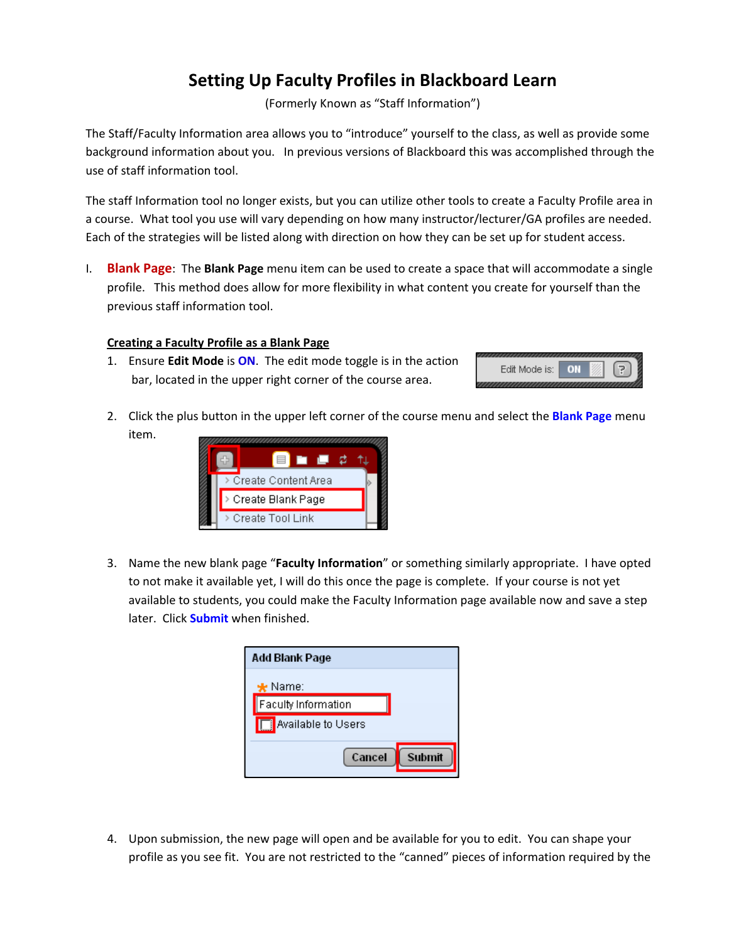# **Setting Up Faculty Profiles in Blackboard Learn**

(Formerly Known as "Staff Information")

The Staff/Faculty Information area allows you to "introduce" yourself to the class, as well as provide some background information about you. In previous versions of Blackboard this was accomplished through the use of staff information tool.

The staff Information tool no longer exists, but you can utilize other tools to create a Faculty Profile area in a course. What tool you use will vary depending on how many instructor/lecturer/GA profiles are needed. Each of the strategies will be listed along with direction on how they can be set up for student access.

I. **Blank Page**: The **Blank Page** menu item can be used to create a space that will accommodate a single profile. This method does allow for more flexibility in what content you create for yourself than the previous staff information tool.

## **Creating a Faculty Profile as a Blank Page**

1. Ensure **Edit Mode** is **ON**. The edit mode toggle is in the action bar, located in the upper right corner of the course area.



2. Click the plus button in the upper left corner of the course menu and select the **Blank Page** menu item.



3. Name the new blank page "**Faculty Information**" or something similarly appropriate. I have opted to not make it available yet, I will do this once the page is complete. If your course is not yet available to students, you could make the Faculty Information page available now and save a step later. Click **Submit** when finished.

| Add Blank Page             |        |
|----------------------------|--------|
| $\bigstar$ Name:           |        |
| <b>Faculty Information</b> |        |
| <b>Available to Users</b>  |        |
| Cancel                     | Submit |

4. Upon submission, the new page will open and be available for you to edit. You can shape your profile as you see fit. You are not restricted to the "canned" pieces of information required by the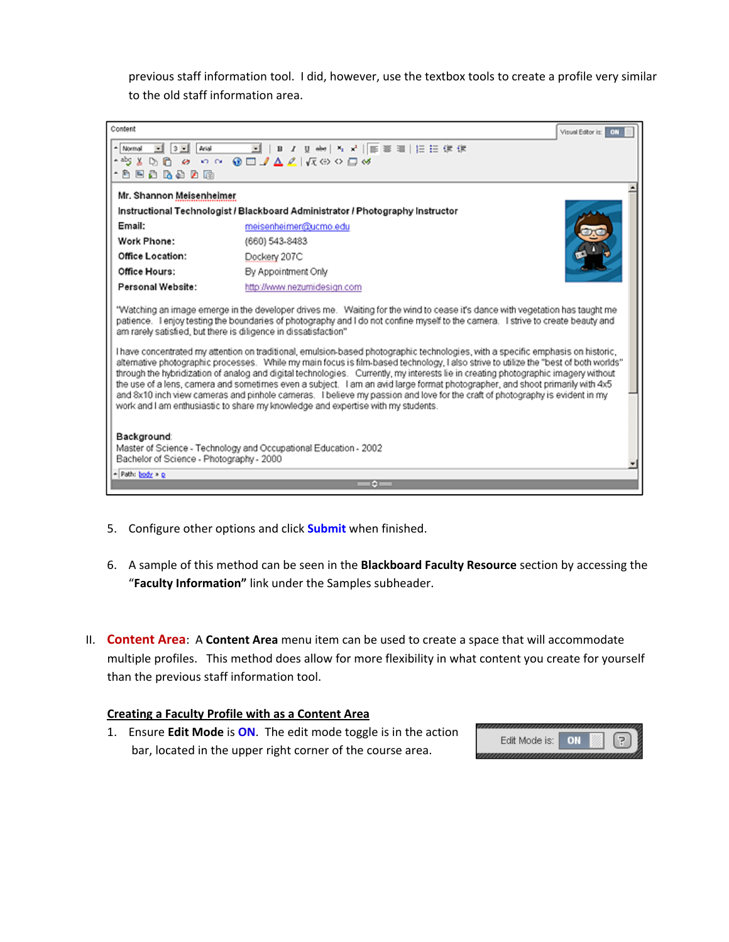previous staff information tool. I did, however, use the textbox tools to create a profile very similar to the old staff information area.



- 5. Configure other options and click **Submit** when finished.
- 6. A sample of this method can be seen in the **Blackboard Faculty Resource** section by accessing the "**Faculty Information"** link under the Samples subheader.
- II. **Content Area**: A **Content Area** menu item can be used to create a space that will accommodate multiple profiles. This method does allow for more flexibility in what content you create for yourself than the previous staff information tool.

#### **Creating a Faculty Profile with as a Content Area**

1. Ensure **Edit Mode** is **ON**. The edit mode toggle is in the action bar, located in the upper right corner of the course area.

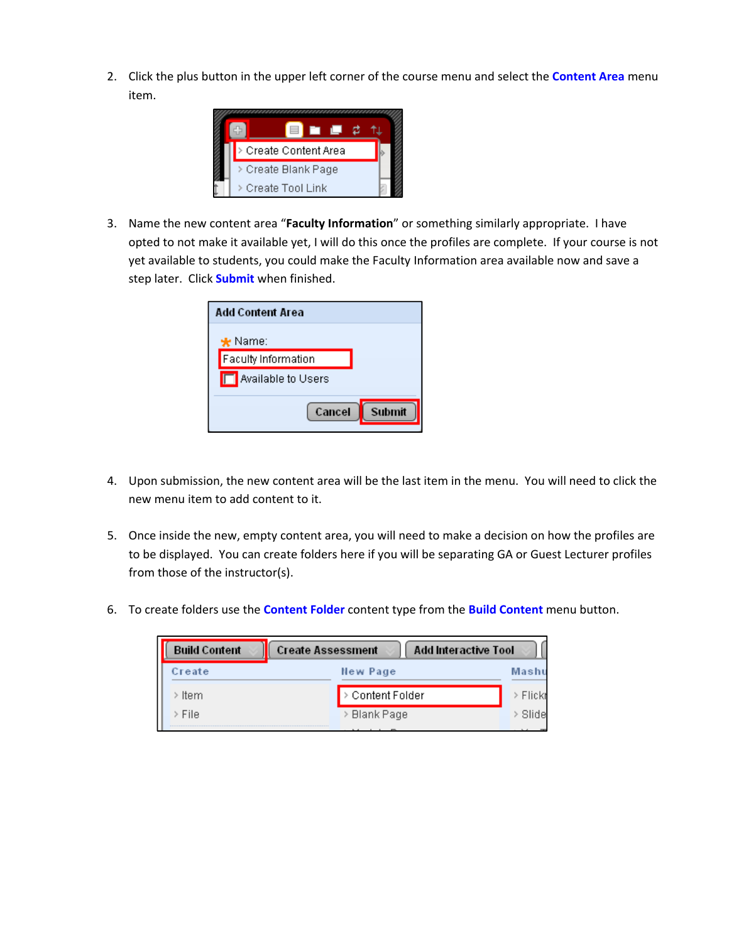2. Click the plus button in the upper left corner of the course menu and select the **Content Area** menu item.



3. Name the new content area "**Faculty Information**" or something similarly appropriate. I have opted to not make it available yet, I will do this once the profiles are complete. If your course is not yet available to students, you could make the Faculty Information area available now and save a step later. Click **Submit** when finished.

| <b>Add Content Area</b>     |  |
|-----------------------------|--|
| $\bigstar$ Name:            |  |
| Faculty Information         |  |
| <b>T</b> Available to Users |  |
| Cancel                      |  |

- 4. Upon submission, the new content area will be the last item in the menu. You will need to click the new menu item to add content to it.
- 5. Once inside the new, empty content area, you will need to make a decision on how the profiles are to be displayed. You can create folders here if you will be separating GA or Guest Lecturer profiles from those of the instructor(s).
- 6. To create folders use the **Content Folder** content type from the **Build Content** menu button.

| <b>Build Content</b> | <b>Create Assessment</b> | <b>Add Interactive Tool</b> |
|----------------------|--------------------------|-----------------------------|
| Create               | New Page                 | Mashu                       |
| <b>Item</b>          | Content Folder           | Flickr                      |
| File                 | > Blank Page             | Slide                       |
|                      |                          |                             |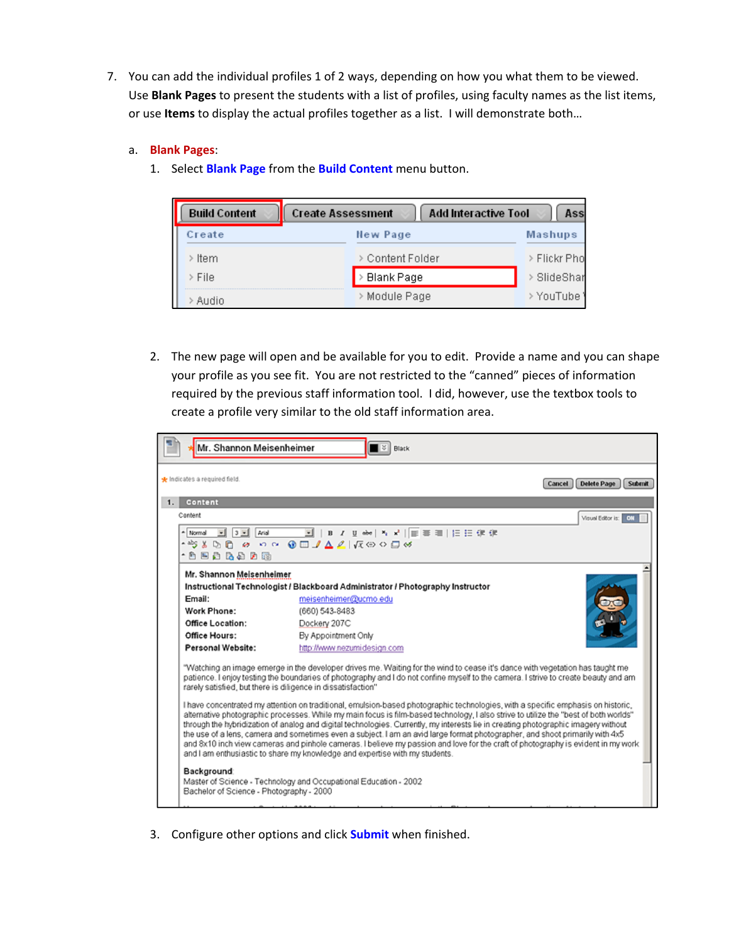7. You can add the individual profiles 1 of 2 ways, depending on how you what them to be viewed. Use **Blank Pages** to present the students with a list of profiles, using faculty names as the list items, or use **Items** to display the actual profiles together as a list. I will demonstrate both…

## a. **Blank Pages**:

1. Select **Blank Page** from the **Build Content** menu button.

| <b>Build Content</b> | <b>Create Assessment</b> | <b>Add Interactive Tool</b><br>Ass |
|----------------------|--------------------------|------------------------------------|
| Create               | New Page                 | <b>Mashups</b>                     |
| <b>Item</b>          | > Content Folder         | > Flickr Pho                       |
| File                 | <b>Blank Page</b>        | SlideShar                          |
| Audio                | > Module Page            | YouTube                            |

2. The new page will open and be available for you to edit. Provide a name and you can shape your profile as you see fit. You are not restricted to the "canned" pieces of information required by the previous staff information tool. I did, however, use the textbox tools to create a profile very similar to the old staff information area.



3. Configure other options and click **Submit** when finished.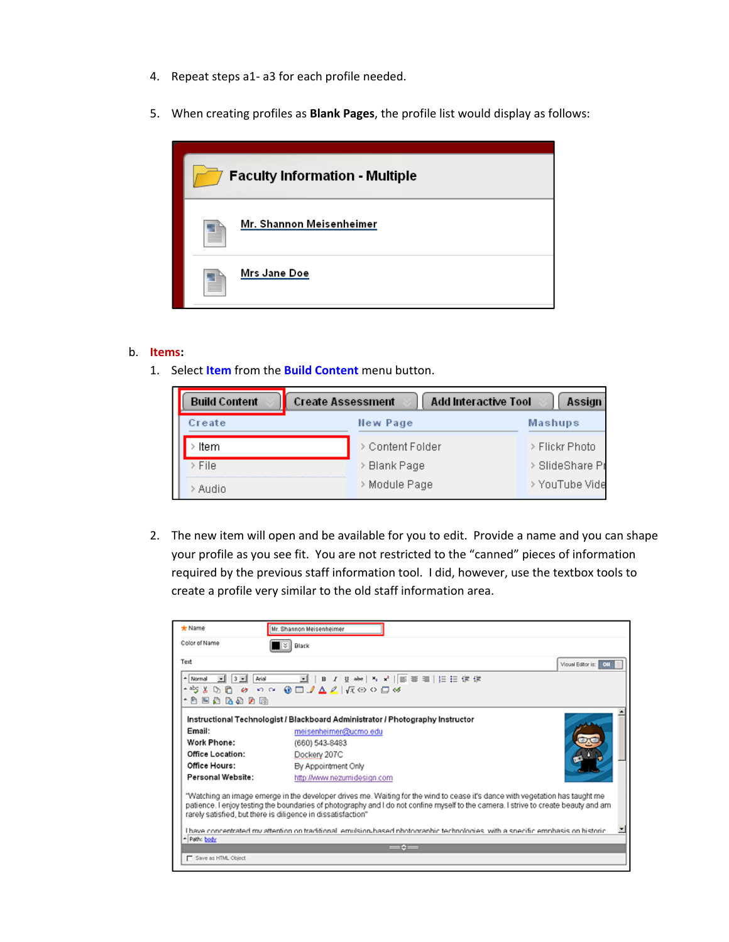- 4. Repeat steps a1‐ a3 for each profile needed.
- 5. When creating profiles as **Blank Pages**, the profile list would display as follows:

| <b>Faculty Information - Multiple</b> |  |  |
|---------------------------------------|--|--|
| Mr. Shannon Meisenheimer              |  |  |
| Mrs Jane Doe                          |  |  |

### b. **Items:**

1. Select **Item** from the **Build Content** menu button.

| <b>Build Content</b> | <b>Add Interactive Tool</b><br><b>Create Assessment</b><br>Assign |                |                 |  |
|----------------------|-------------------------------------------------------------------|----------------|-----------------|--|
| Create               |                                                                   | New Page       | Mashups         |  |
| Item                 |                                                                   | Content Folder | > Flickr Photo  |  |
| > File               |                                                                   | Blank Page     | > SlideShare Pr |  |
| Audio                |                                                                   | Module Page    | > YouTube Vide  |  |

2. The new item will open and be available for you to edit. Provide a name and you can shape your profile as you see fit. You are not restricted to the "canned" pieces of information required by the previous staff information tool. I did, however, use the textbox tools to create a profile very similar to the old staff information area.

| * Name                                                                                            | Mr. Shannon Meisenheimer                                                                                                                                                                                                                                                                                                            |  |
|---------------------------------------------------------------------------------------------------|-------------------------------------------------------------------------------------------------------------------------------------------------------------------------------------------------------------------------------------------------------------------------------------------------------------------------------------|--|
| Color of Name                                                                                     | s.<br><b>Black</b>                                                                                                                                                                                                                                                                                                                  |  |
| Text                                                                                              | Visual Editor is: 01                                                                                                                                                                                                                                                                                                                |  |
| $\frac{1}{2}$ 3 $\frac{1}{2}$<br>Arial<br>- Normal<br>– abg ∦<br>$\,\cdot\,$ de de de $\,\cdot\,$ | E<br><b>DO 8 00 001ALIROOD</b>                                                                                                                                                                                                                                                                                                      |  |
|                                                                                                   | Instructional Technologist / Blackboard Administrator / Photography Instructor                                                                                                                                                                                                                                                      |  |
| Email:                                                                                            | meisenheimer@ucmo.edu                                                                                                                                                                                                                                                                                                               |  |
| Work Phone:                                                                                       | (660) 543-8483                                                                                                                                                                                                                                                                                                                      |  |
| <b>Office Location:</b>                                                                           | Dockery 207C                                                                                                                                                                                                                                                                                                                        |  |
| Office Hours:                                                                                     | By Appointment Only                                                                                                                                                                                                                                                                                                                 |  |
| Personal Website:                                                                                 | http://www.nezumidesign.com                                                                                                                                                                                                                                                                                                         |  |
|                                                                                                   | "Watching an image emerge in the developer drives me. Waiting for the wind to cease it's dance with vegetation has taught me<br>patience. I enjoy testing the boundaries of photography and I do not confine myself to the camera. I strive to create beauty and am<br>rarely satisfied, but there is diligence in dissatisfaction" |  |
| - Path: body                                                                                      | I have concentrated my attention on traditional, emulsion hased photographic technologies, with a specific emphasis on historic                                                                                                                                                                                                     |  |
|                                                                                                   | $=$ 0 $=$                                                                                                                                                                                                                                                                                                                           |  |
| Save as HTML Object                                                                               |                                                                                                                                                                                                                                                                                                                                     |  |